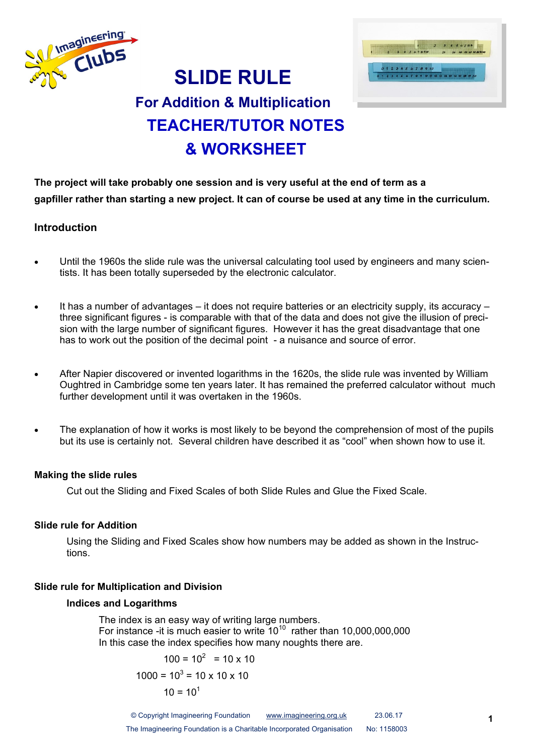



# **For Addition & Multiplication TEACHER/TUTOR NOTES & WORKSHEET**

**SLIDE RULE**

**The project will take probably one session and is very useful at the end of term as a gapfiller rather than starting a new project. It can of course be used at any time in the curriculum.**

#### **Introduction**

- Until the 1960s the slide rule was the universal calculating tool used by engineers and many scientists. It has been totally superseded by the electronic calculator.
- It has a number of advantages it does not require batteries or an electricity supply, its accuracy three significant figures - is comparable with that of the data and does not give the illusion of precision with the large number of significant figures. However it has the great disadvantage that one has to work out the position of the decimal point - a nuisance and source of error.
- After Napier discovered or invented logarithms in the 1620s, the slide rule was invented by William Oughtred in Cambridge some ten years later. It has remained the preferred calculator without much further development until it was overtaken in the 1960s.
- The explanation of how it works is most likely to be beyond the comprehension of most of the pupils but its use is certainly not. Several children have described it as "cool" when shown how to use it.

#### **Making the slide rules**

Cut out the Sliding and Fixed Scales of both Slide Rules and Glue the Fixed Scale.

#### **Slide rule for Addition**

Using the Sliding and Fixed Scales show how numbers may be added as shown in the Instructions.

#### **Slide rule for Multiplication and Division**

#### **Indices and Logarithms**

The index is an easy way of writing large numbers. For instance -it is much easier to write  $10^{10}$  rather than 10,000,000,000 In this case the index specifies how many noughts there are.

$$
100 = 102 = 10 \times 10
$$
  

$$
1000 = 103 = 10 \times 10 \times 10
$$
  

$$
10 = 101
$$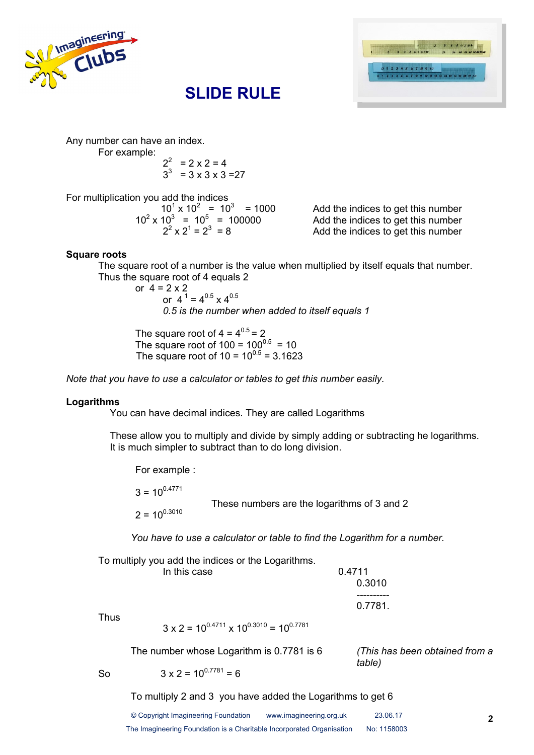





Any number can have an index.

For example:

$$
2^2 = 2 \times 2 = 4
$$
  
\n $3^3 = 3 \times 3 \times 3 = 27$ 

For multiplication you add the indices

 $10^1 \times 10^2 = 10^3$  $10^2 \times 10^3 = 10^5$  $2^2 \times 2^1 = 2^3$ 

Add the indices to get this number Add the indices to get this number Add the indices to get this number

#### **Square roots**

The square root of a number is the value when multiplied by itself equals that number. Thus the square root of 4 equals 2

or  $4 = 2 \times 2$ or  $4^1$  =  $4^{0.5}$  x  $4^{0.5}$ *0.5 is the number when added to itself equals 1*

The square root of  $4 = 4^{0.5} = 2$ The square root of 100 =  $100^{0.5}$  = 10 The square root of  $10 = 10^{0.5} = 3.1623$ 

*Note that you have to use a calculator or tables to get this number easily.*

#### **Logarithms**

You can have decimal indices. They are called Logarithms

These allow you to multiply and divide by simply adding or subtracting he logarithms. It is much simpler to subtract than to do long division.

For example :

 $3 = 10^{0.4771}$ These numbers are the logarithms of 3 and 2  $2 = 10^{0.3010}$ 

*You have to use a calculator or table to find the Logarithm for a number.*

To multiply you add the indices or the Logarithms. In this case 0.4711 0.3010 ---------- 0.7781.

Thus

 $3 \times 2 = 10^{0.4711} \times 10^{0.3010} = 10^{0.7781}$ 

The number whose Logarithm is 0.7781 is 6 *(This has been obtained from a* 

*table)*

So  $3 \times 2 = 10^{0.7781} = 6$ 

To multiply 2 and 3 you have added the Logarithms to get 6

| © Copyright Imagineering Foundation                                   | www.imagineering.org.uk | 23.06.17    |
|-----------------------------------------------------------------------|-------------------------|-------------|
| The Imagineering Foundation is a Charitable Incorporated Organisation |                         | No: 1158003 |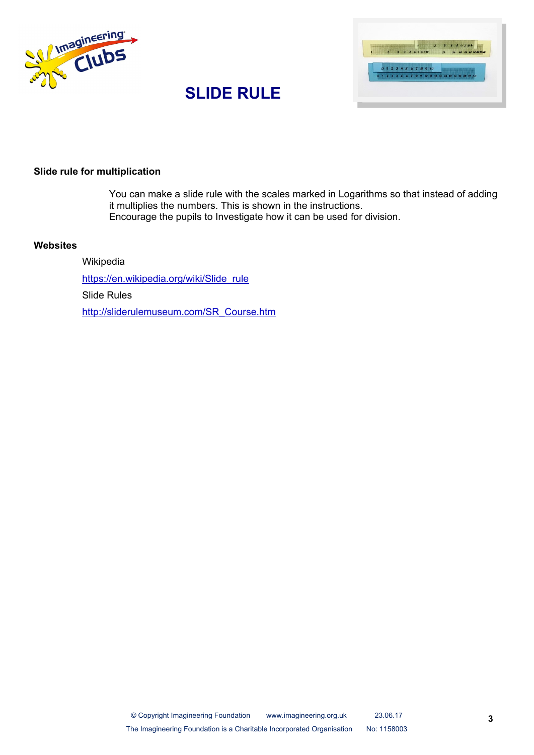



# **SLIDE RULE**

#### **Slide rule for multiplication**

You can make a slide rule with the scales marked in Logarithms so that instead of adding it multiplies the numbers. This is shown in the instructions. Encourage the pupils to Investigate how it can be used for division.

#### **Websites**

Wikipedia https://en.wikipedia.org/wiki/Slide\_rule Slide Rules http://sliderulemuseum.com/SR\_Course.htm